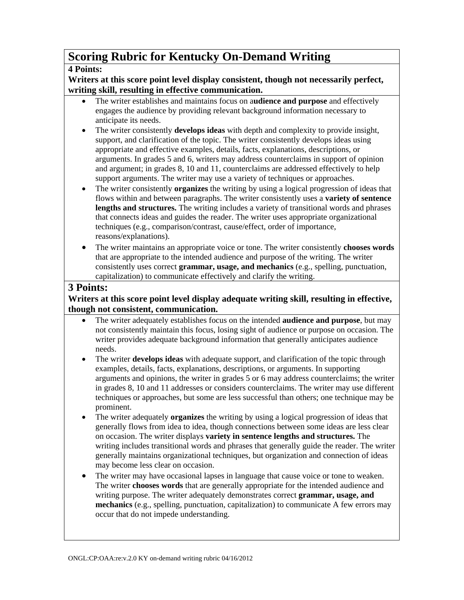# **Scoring Rubric for Kentucky On-Demand Writing**

#### **4 Points:**

#### **Writers at this score point level display consistent, though not necessarily perfect, writing skill, resulting in effective communication.**

- The writer establishes and maintains focus on a**udience and purpose** and effectively engages the audience by providing relevant background information necessary to anticipate its needs.
- The writer consistently **develops ideas** with depth and complexity to provide insight, support, and clarification of the topic. The writer consistently develops ideas using appropriate and effective examples, details, facts, explanations, descriptions, or arguments. In grades 5 and 6, writers may address counterclaims in support of opinion and argument; in grades 8, 10 and 11, counterclaims are addressed effectively to help support arguments. The writer may use a variety of techniques or approaches.
- The writer consistently **organizes** the writing by using a logical progression of ideas that flows within and between paragraphs. The writer consistently uses a **variety of sentence lengths and structures.** The writing includes a variety of transitional words and phrases that connects ideas and guides the reader. The writer uses appropriate organizational techniques (e.g., comparison/contrast, cause/effect, order of importance, reasons/explanations).
- The writer maintains an appropriate voice or tone. The writer consistently **chooses words**  that are appropriate to the intended audience and purpose of the writing. The writer consistently uses correct **grammar, usage, and mechanics** (e.g., spelling, punctuation, capitalization) to communicate effectively and clarify the writing.

## **3 Points:**

### **Writers at this score point level display adequate writing skill, resulting in effective, though not consistent, communication.**

- The writer adequately establishes focus on the intended **audience and purpose**, but may not consistently maintain this focus, losing sight of audience or purpose on occasion. The writer provides adequate background information that generally anticipates audience needs.
- The writer **develops ideas** with adequate support, and clarification of the topic through examples, details, facts, explanations, descriptions, or arguments. In supporting arguments and opinions, the writer in grades 5 or 6 may address counterclaims; the writer in grades 8, 10 and 11 addresses or considers counterclaims. The writer may use different techniques or approaches, but some are less successful than others; one technique may be prominent.
- The writer adequately **organizes** the writing by using a logical progression of ideas that generally flows from idea to idea, though connections between some ideas are less clear on occasion. The writer displays **variety in sentence lengths and structures.** The writing includes transitional words and phrases that generally guide the reader. The writer generally maintains organizational techniques, but organization and connection of ideas may become less clear on occasion.
- The writer may have occasional lapses in language that cause voice or tone to weaken. The writer **chooses words** that are generally appropriate for the intended audience and writing purpose. The writer adequately demonstrates correct **grammar, usage, and mechanics** (e.g., spelling, punctuation, capitalization) to communicate A few errors may occur that do not impede understanding.